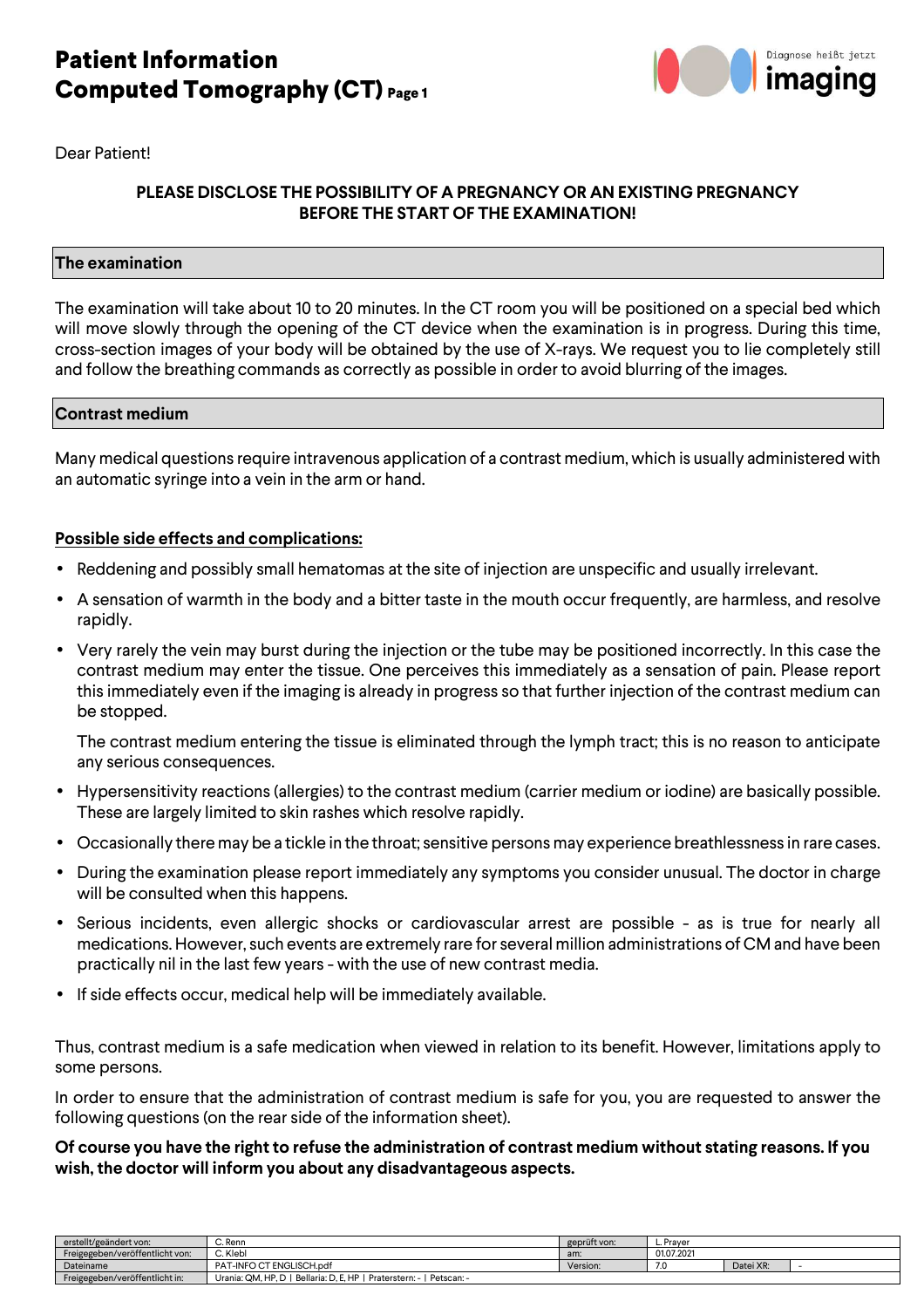# **Patient Information Computed Tomography (CT) Page 1**



Dear Patient!

### **PLEASE DISCLOSE THE POSSIBILITY OF A PREGNANCY OR AN EXISTING PREGNANCY BEFORE THE START OF THE EXAMINATION!**

#### **The examination**

The examination will take about 10 to 20 minutes. In the CT room you will be positioned on a special bed which will move slowly through the opening of the CT device when the examination is in progress. During this time, cross-section images of your body will be obtained by the use of X-rays. We request you to lie completely still and follow the breathing commands as correctly as possible in order to avoid blurring of the images.

#### **Contrast medium**

Many medical questions require intravenous application of a contrast medium, which is usually administered with an automatic syringe into a vein in the arm or hand.

#### **Possible side effects and complications:**

- Reddening and possibly small hematomas at the site of injection are unspecific and usually irrelevant.
- A sensation of warmth in the body and a bitter taste in the mouth occur frequently, are harmless, and resolve rapidly.
- Very rarely the vein may burst during the injection or the tube may be positioned incorrectly. In this case the contrast medium may enter the tissue. One perceives this immediately as a sensation of pain. Please report this immediately even if the imaging is already in progress so that further injection of the contrast medium can be stopped.

The contrast medium entering the tissue is eliminated through the lymph tract; this is no reason to anticipate any serious consequences.

- Hypersensitivity reactions (allergies) to the contrast medium (carrier medium or iodine) are basically possible. These are largely limited to skin rashes which resolve rapidly.
- Occasionally there may be a tickle in the throat; sensitive persons may experience breathlessness in rare cases.
- During the examination please report immediately any symptoms you consider unusual. The doctor in charge will be consulted when this happens.
- Serious incidents, even allergic shocks or cardiovascular arrest are possible as is true for nearly all medications. However, such events are extremely rare for several million administrations of CM and have been practically nil in the last few years - with the use of new contrast media.
- If side effects occur, medical help will be immediately available.

Thus, contrast medium is a safe medication when viewed in relation to its benefit. However, limitations apply to some persons.

In order to ensure that the administration of contrast medium is safe for you, you are requested to answer the following questions (on the rear side of the information sheet).

#### **Of course you have the right to refuse the administration of contrast medium without stating reasons. If you wish, the doctor will inform you about any disadvantageous aspects.**

| erstellt/geändert von:          | C. Renn                                                                    | geprüft von: | L. Praver  |           |  |
|---------------------------------|----------------------------------------------------------------------------|--------------|------------|-----------|--|
| Freigegeben/veröffentlicht von: | C. Klebl                                                                   | am:          | 01.07.2021 |           |  |
| Dateiname                       | PAT-INFO CT ENGLISCH.pdf                                                   | Version:     |            | Datei XR: |  |
| Freigegeben/veröffentlicht in:  | Urania: QM, HP, D   Bellaria: D, E, HP  <br>Praterstern: - I<br>Petscan: - |              |            |           |  |